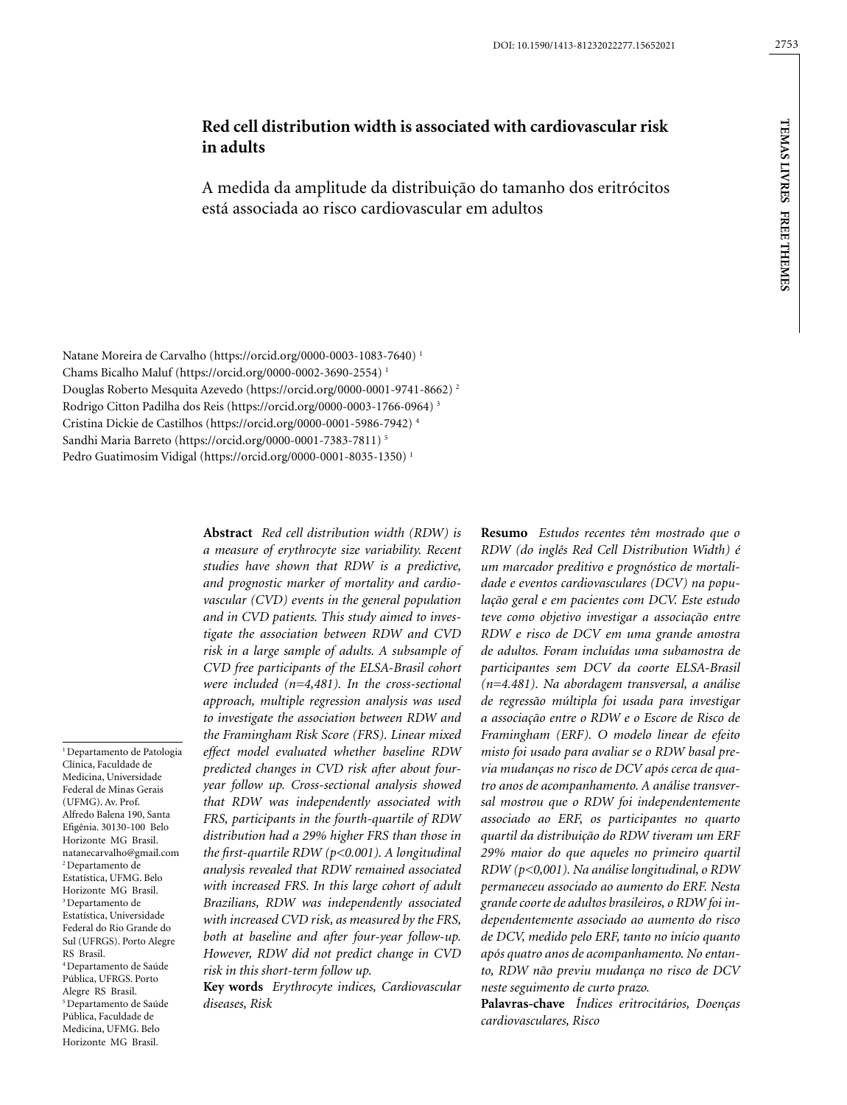# **Red cell distribution width is associated with cardiovascular risk in adults**

A medida da amplitude da distribuição do tamanho dos eritrócitos está associada ao risco cardiovascular em adultos

Natane Moreira de Carvalho (https://orcid.org/0000-0003-1083-7640) 1 Chams Bicalho Maluf (https://orcid.org/0000-0002-3690-2554) 1 Douglas Roberto Mesquita Azevedo (https://orcid.org/0000-0001-9741-8662) 2 Rodrigo Citton Padilha dos Reis (https://orcid.org/0000-0003-1766-0964) 3 Cristina Dickie de Castilhos (https://orcid.org/0000-0001-5986-7942) 4 Sandhi Maria Barreto (https://orcid.org/0000-0001-7383-7811) 5 Pedro Guatimosim Vidigal (https://orcid.org/0000-0001-8035-1350) 1

1 Departamento de Patologia Clínica, Faculdade de Medicina, Universidade Federal de Minas Gerais (UFMG). Av. Prof. Alfredo Balena 190, Santa Efigênia. 30130-100 Belo Horizonte MG Brasil. natanecarvalho@gmail.com 2 Departamento de Estatística, UFMG. Belo Horizonte MG Brasil. 3 Departamento de Estatística, Universidade Federal do Rio Grande do Sul (UFRGS). Porto Alegre RS Brasil. 4 Departamento de Saúde Pública, UFRGS. Porto Alegre RS Brasil. 5 Departamento de Saúde Pública, Faculdade de Medicina, UFMG. Belo Horizonte MG Brasil.

**Abstract** *Red cell distribution width (RDW) is a measure of erythrocyte size variability. Recent studies have shown that RDW is a predictive, and prognostic marker of mortality and cardiovascular (CVD) events in the general population and in CVD patients. This study aimed to investigate the association between RDW and CVD risk in a large sample of adults. A subsample of CVD free participants of the ELSA-Brasil cohort were included (n=4,481). In the cross-sectional approach, multiple regression analysis was used to investigate the association between RDW and the Framingham Risk Score (FRS). Linear mixed effect model evaluated whether baseline RDW predicted changes in CVD risk after about fouryear follow up. Cross-sectional analysis showed that RDW was independently associated with FRS, participants in the fourth-quartile of RDW distribution had a 29% higher FRS than those in the first-quartile RDW (p<0.001). A longitudinal analysis revealed that RDW remained associated with increased FRS. In this large cohort of adult Brazilians, RDW was independently associated with increased CVD risk, as measured by the FRS, both at baseline and after four-year follow-up. However, RDW did not predict change in CVD risk in this short-term follow up.*

**Key words** *Erythrocyte indices, Cardiovascular diseases, Risk*

**Resumo** *Estudos recentes têm mostrado que o RDW (do inglês Red Cell Distribution Width) é um marcador preditivo e prognóstico de mortalidade e eventos cardiovasculares (DCV) na população geral e em pacientes com DCV. Este estudo teve como objetivo investigar a associação entre RDW e risco de DCV em uma grande amostra de adultos. Foram incluídas uma subamostra de participantes sem DCV da coorte ELSA-Brasil (n=4.481). Na abordagem transversal, a análise de regressão múltipla foi usada para investigar a associação entre o RDW e o Escore de Risco de Framingham (ERF). O modelo linear de efeito misto foi usado para avaliar se o RDW basal previa mudanças no risco de DCV após cerca de quatro anos de acompanhamento. A análise transversal mostrou que o RDW foi independentemente associado ao ERF, os participantes no quarto quartil da distribuição do RDW tiveram um ERF 29% maior do que aqueles no primeiro quartil RDW (p<0,001). Na análise longitudinal, o RDW permaneceu associado ao aumento do ERF. Nesta grande coorte de adultos brasileiros, o RDW foi independentemente associado ao aumento do risco de DCV, medido pelo ERF, tanto no início quanto após quatro anos de acompanhamento. No entanto, RDW não previu mudança no risco de DCV neste seguimento de curto prazo.*

**Palavras-chave** *Índices eritrocitários, Doenças cardiovasculares, Risco*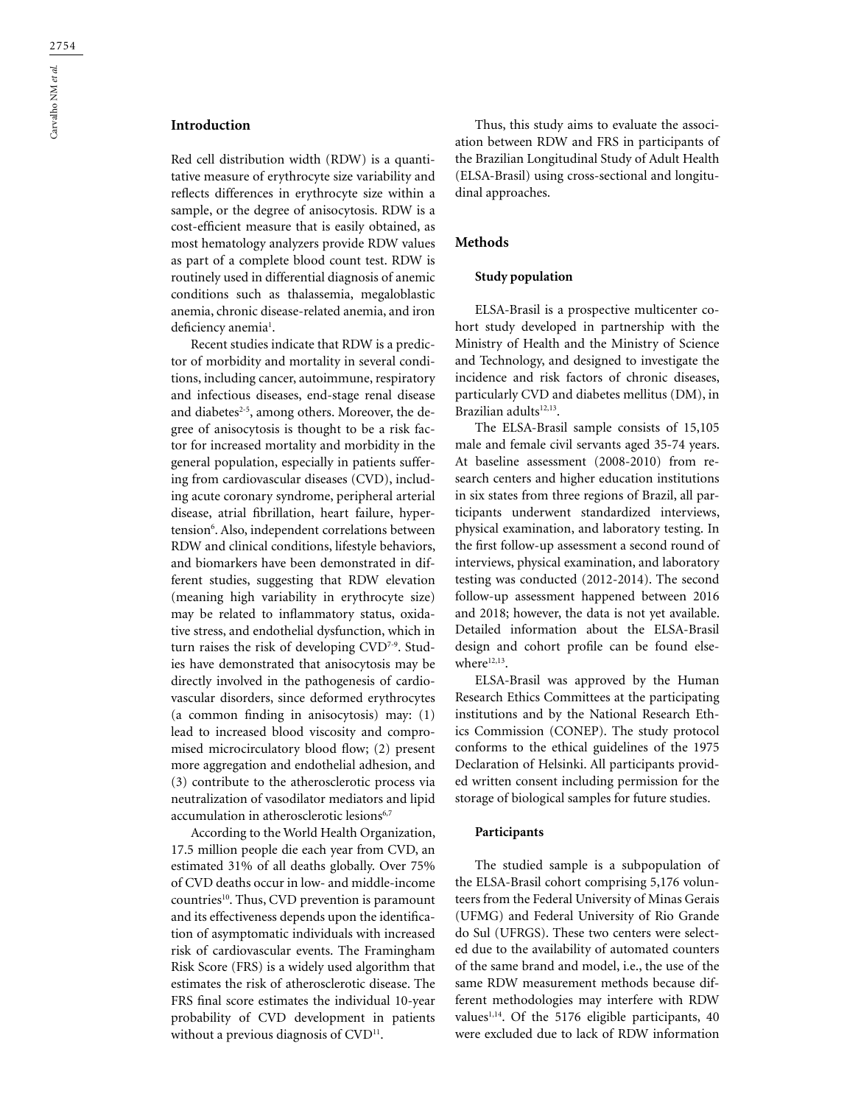# **Introduction**

Red cell distribution width (RDW) is a quantitative measure of erythrocyte size variability and reflects differences in erythrocyte size within a sample, or the degree of anisocytosis. RDW is a cost-efficient measure that is easily obtained, as most hematology analyzers provide RDW values as part of a complete blood count test. RDW is routinely used in differential diagnosis of anemic conditions such as thalassemia, megaloblastic anemia, chronic disease-related anemia, and iron deficiency anemia<sup>1</sup>.

Recent studies indicate that RDW is a predictor of morbidity and mortality in several conditions, including cancer, autoimmune, respiratory and infectious diseases, end-stage renal disease and diabetes $2-5$ , among others. Moreover, the degree of anisocytosis is thought to be a risk factor for increased mortality and morbidity in the general population, especially in patients suffering from cardiovascular diseases (CVD), including acute coronary syndrome, peripheral arterial disease, atrial fibrillation, heart failure, hypertension<sup>6</sup>. Also, independent correlations between RDW and clinical conditions, lifestyle behaviors, and biomarkers have been demonstrated in different studies, suggesting that RDW elevation (meaning high variability in erythrocyte size) may be related to inflammatory status, oxidative stress, and endothelial dysfunction, which in turn raises the risk of developing CVD<sup>7-9</sup>. Studies have demonstrated that anisocytosis may be directly involved in the pathogenesis of cardiovascular disorders, since deformed erythrocytes (a common finding in anisocytosis) may: (1) lead to increased blood viscosity and compromised microcirculatory blood flow; (2) present more aggregation and endothelial adhesion, and (3) contribute to the atherosclerotic process via neutralization of vasodilator mediators and lipid accumulation in atherosclerotic lesions<sup>6,7</sup>

According to the World Health Organization, 17.5 million people die each year from CVD, an estimated 31% of all deaths globally. Over 75% of CVD deaths occur in low- and middle-income countries<sup>10</sup>. Thus, CVD prevention is paramount and its effectiveness depends upon the identification of asymptomatic individuals with increased risk of cardiovascular events. The Framingham Risk Score (FRS) is a widely used algorithm that estimates the risk of atherosclerotic disease. The FRS final score estimates the individual 10-year probability of CVD development in patients without a previous diagnosis of CVD<sup>11</sup>.

Thus, this study aims to evaluate the association between RDW and FRS in participants of the Brazilian Longitudinal Study of Adult Health (ELSA-Brasil) using cross-sectional and longitudinal approaches.

# **Methods**

# **Study population**

ELSA-Brasil is a prospective multicenter cohort study developed in partnership with the Ministry of Health and the Ministry of Science and Technology, and designed to investigate the incidence and risk factors of chronic diseases, particularly CVD and diabetes mellitus (DM), in Brazilian adults<sup>12,13</sup>.

The ELSA-Brasil sample consists of 15,105 male and female civil servants aged 35-74 years. At baseline assessment (2008-2010) from research centers and higher education institutions in six states from three regions of Brazil, all participants underwent standardized interviews, physical examination, and laboratory testing. In the first follow-up assessment a second round of interviews, physical examination, and laboratory testing was conducted (2012-2014). The second follow-up assessment happened between 2016 and 2018; however, the data is not yet available. Detailed information about the ELSA-Brasil design and cohort profile can be found elsewhere $12,13$ .

ELSA-Brasil was approved by the Human Research Ethics Committees at the participating institutions and by the National Research Ethics Commission (CONEP). The study protocol conforms to the ethical guidelines of the 1975 Declaration of Helsinki. All participants provided written consent including permission for the storage of biological samples for future studies.

### **Participants**

The studied sample is a subpopulation of the ELSA-Brasil cohort comprising 5,176 volunteers from the Federal University of Minas Gerais (UFMG) and Federal University of Rio Grande do Sul (UFRGS). These two centers were selected due to the availability of automated counters of the same brand and model, i.e., the use of the same RDW measurement methods because different methodologies may interfere with RDW values $1,14$ . Of the 5176 eligible participants, 40 were excluded due to lack of RDW information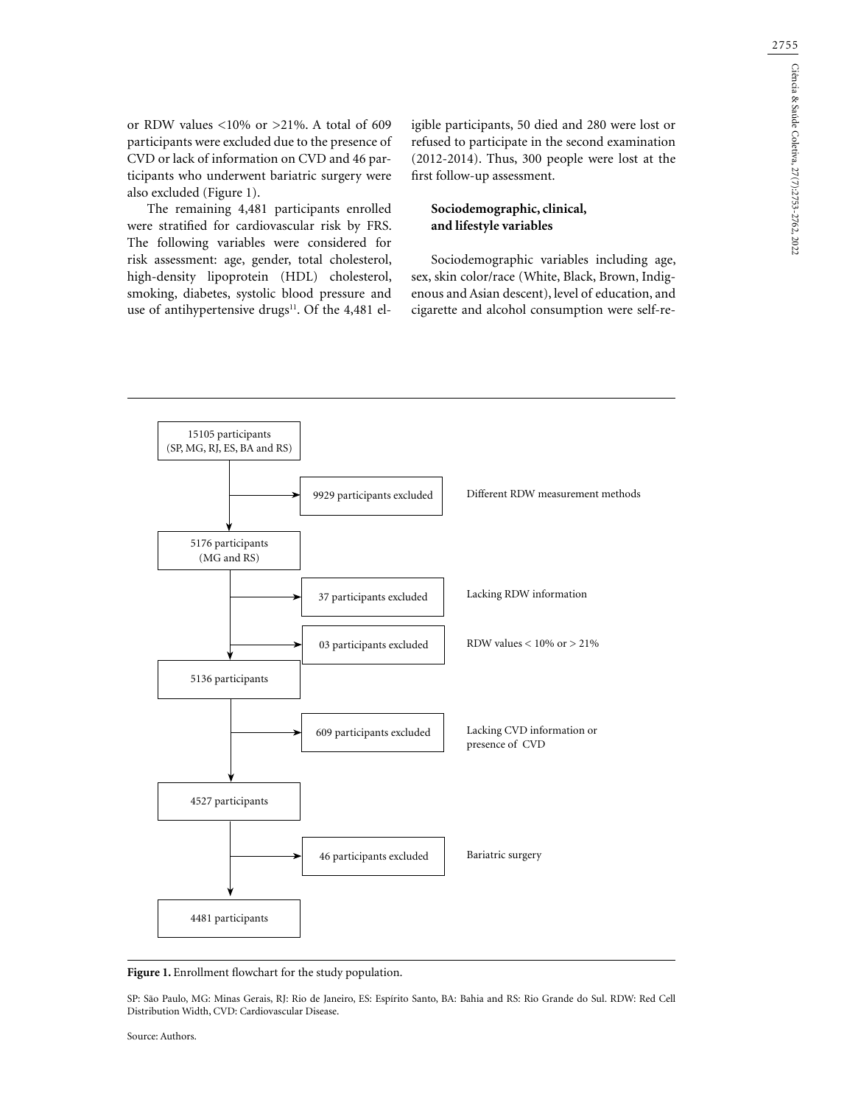or RDW values <10% or >21%. A total of 609 participants were excluded due to the presence of CVD or lack of information on CVD and 46 participants who underwent bariatric surgery were also excluded (Figure 1).

The remaining 4,481 participants enrolled were stratified for cardiovascular risk by FRS. The following variables were considered for risk assessment: age, gender, total cholesterol, high-density lipoprotein (HDL) cholesterol, smoking, diabetes, systolic blood pressure and use of antihypertensive drugs<sup>11</sup>. Of the 4,481 eligible participants, 50 died and 280 were lost or refused to participate in the second examination (2012-2014). Thus, 300 people were lost at the first follow-up assessment.

# **Sociodemographic, clinical, and lifestyle variables**

Sociodemographic variables including age, sex, skin color/race (White, Black, Brown, Indigenous and Asian descent), level of education, and cigarette and alcohol consumption were self-re-



Figure 1. Enrollment flowchart for the study population.

SP: São Paulo, MG: Minas Gerais, RJ: Rio de Janeiro, ES: Espírito Santo, BA: Bahia and RS: Rio Grande do Sul. RDW: Red Cell Distribution Width, CVD: Cardiovascular Disease.

Source: Authors.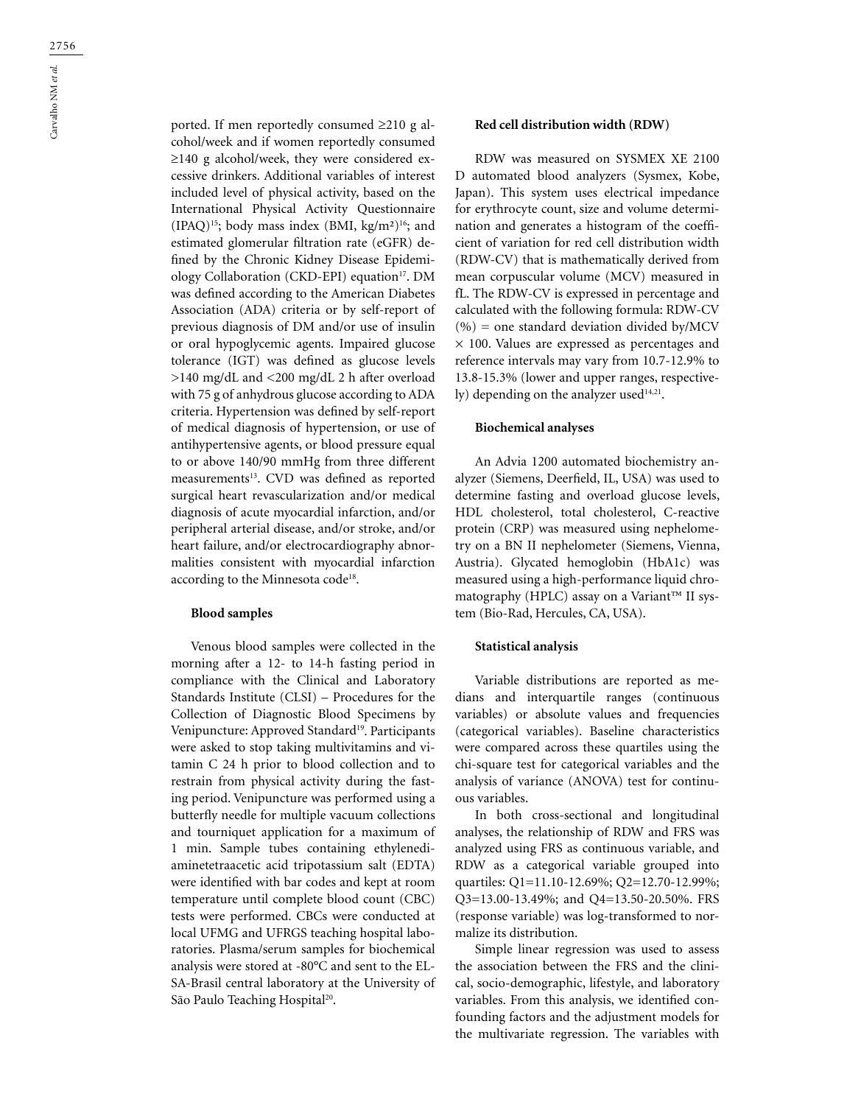ported. If men reportedly consumed ≥210 g alcohol/week and if women reportedly consumed ≥140 g alcohol/week, they were considered excessive drinkers. Additional variables of interest included level of physical activity, based on the International Physical Activity Questionnaire (IPAQ)15; body mass index (BMI, kg/m²)16; and estimated glomerular filtration rate (eGFR) defined by the Chronic Kidney Disease Epidemiology Collaboration (CKD-EPI) equation<sup>17</sup>. DM was defined according to the American Diabetes Association (ADA) criteria or by self-report of previous diagnosis of DM and/or use of insulin or oral hypoglycemic agents. Impaired glucose tolerance (IGT) was defined as glucose levels >140 mg/dL and <200 mg/dL 2 h after overload with 75 g of anhydrous glucose according to ADA criteria. Hypertension was defined by self-report of medical diagnosis of hypertension, or use of antihypertensive agents, or blood pressure equal to or above 140/90 mmHg from three different measurements<sup>13</sup>. CVD was defined as reported surgical heart revascularization and/or medical diagnosis of acute myocardial infarction, and/or peripheral arterial disease, and/or stroke, and/or heart failure, and/or electrocardiography abnormalities consistent with myocardial infarction according to the Minnesota code<sup>18</sup>.

## **Blood samples**

Venous blood samples were collected in the morning after a 12- to 14-h fasting period in compliance with the Clinical and Laboratory Standards Institute (CLSI) – Procedures for the Collection of Diagnostic Blood Specimens by Venipuncture: Approved Standard<sup>19</sup>. Participants were asked to stop taking multivitamins and vitamin C 24 h prior to blood collection and to restrain from physical activity during the fasting period. Venipuncture was performed using a butterfly needle for multiple vacuum collections and tourniquet application for a maximum of 1 min. Sample tubes containing ethylenediaminetetraacetic acid tripotassium salt (EDTA) were identified with bar codes and kept at room temperature until complete blood count (CBC) tests were performed. CBCs were conducted at local UFMG and UFRGS teaching hospital laboratories. Plasma/serum samples for biochemical analysis were stored at -80°C and sent to the EL-SA-Brasil central laboratory at the University of São Paulo Teaching Hospital<sup>20</sup>.

# **Red cell distribution width (RDW)**

RDW was measured on SYSMEX XE 2100 D automated blood analyzers (Sysmex, Kobe, Japan). This system uses electrical impedance for erythrocyte count, size and volume determination and generates a histogram of the coefficient of variation for red cell distribution width (RDW-CV) that is mathematically derived from mean corpuscular volume (MCV) measured in fL. The RDW-CV is expressed in percentage and calculated with the following formula: RDW-CV  $(%)$  = one standard deviation divided by/MCV  $\times$  100. Values are expressed as percentages and reference intervals may vary from 10.7-12.9% to 13.8-15.3% (lower and upper ranges, respectively) depending on the analyzer used $14,21$ .

#### **Biochemical analyses**

An Advia 1200 automated biochemistry analyzer (Siemens, Deerfield, IL, USA) was used to determine fasting and overload glucose levels, HDL cholesterol, total cholesterol, C-reactive protein (CRP) was measured using nephelometry on a BN II nephelometer (Siemens, Vienna, Austria). Glycated hemoglobin (HbA1c) was measured using a high-performance liquid chromatography (HPLC) assay on a Variant™ II system (Bio-Rad, Hercules, CA, USA).

### **Statistical analysis**

Variable distributions are reported as medians and interquartile ranges (continuous variables) or absolute values and frequencies (categorical variables). Baseline characteristics were compared across these quartiles using the chi-square test for categorical variables and the analysis of variance (ANOVA) test for continuous variables.

In both cross-sectional and longitudinal analyses, the relationship of RDW and FRS was analyzed using FRS as continuous variable, and RDW as a categorical variable grouped into quartiles: Q1=11.10-12.69%; Q2=12.70-12.99%; Q3=13.00-13.49%; and Q4=13.50-20.50%. FRS (response variable) was log-transformed to normalize its distribution.

Simple linear regression was used to assess the association between the FRS and the clinical, socio-demographic, lifestyle, and laboratory variables. From this analysis, we identified confounding factors and the adjustment models for the multivariate regression. The variables with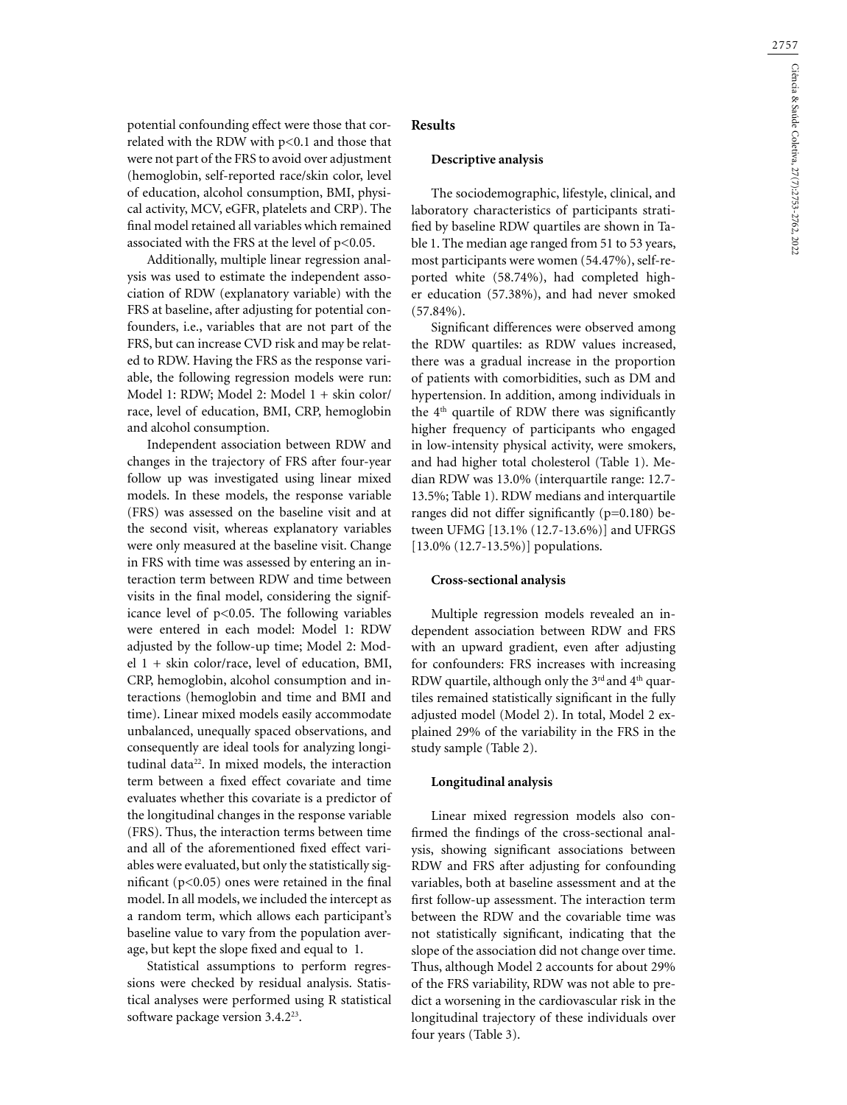potential confounding effect were those that correlated with the RDW with p<0.1 and those that were not part of the FRS to avoid over adjustment (hemoglobin, self-reported race/skin color, level of education, alcohol consumption, BMI, physical activity, MCV, eGFR, platelets and CRP). The final model retained all variables which remained associated with the FRS at the level of p<0.05.

Additionally, multiple linear regression analysis was used to estimate the independent association of RDW (explanatory variable) with the FRS at baseline, after adjusting for potential confounders, i.e., variables that are not part of the FRS, but can increase CVD risk and may be related to RDW. Having the FRS as the response variable, the following regression models were run: Model 1: RDW; Model 2: Model 1 + skin color/ race, level of education, BMI, CRP, hemoglobin and alcohol consumption.

Independent association between RDW and changes in the trajectory of FRS after four-year follow up was investigated using linear mixed models. In these models, the response variable (FRS) was assessed on the baseline visit and at the second visit, whereas explanatory variables were only measured at the baseline visit. Change in FRS with time was assessed by entering an interaction term between RDW and time between visits in the final model, considering the significance level of p<0.05. The following variables were entered in each model: Model 1: RDW adjusted by the follow-up time; Model 2: Model 1 + skin color/race, level of education, BMI, CRP, hemoglobin, alcohol consumption and interactions (hemoglobin and time and BMI and time). Linear mixed models easily accommodate unbalanced, unequally spaced observations, and consequently are ideal tools for analyzing longitudinal data<sup>22</sup>. In mixed models, the interaction term between a fixed effect covariate and time evaluates whether this covariate is a predictor of the longitudinal changes in the response variable (FRS). Thus, the interaction terms between time and all of the aforementioned fixed effect variables were evaluated, but only the statistically significant (p<0.05) ones were retained in the final model. In all models, we included the intercept as a random term, which allows each participant's baseline value to vary from the population average, but kept the slope fixed and equal to 1.

Statistical assumptions to perform regressions were checked by residual analysis. Statistical analyses were performed using R statistical software package version 3.4.223.

# **Results**

### **Descriptive analysis**

The sociodemographic, lifestyle, clinical, and laboratory characteristics of participants stratified by baseline RDW quartiles are shown in Table 1. The median age ranged from 51 to 53 years, most participants were women (54.47%), self-reported white (58.74%), had completed higher education (57.38%), and had never smoked (57.84%).

Significant differences were observed among the RDW quartiles: as RDW values increased, there was a gradual increase in the proportion of patients with comorbidities, such as DM and hypertension. In addition, among individuals in the  $4<sup>th</sup>$  quartile of RDW there was significantly higher frequency of participants who engaged in low-intensity physical activity, were smokers, and had higher total cholesterol (Table 1). Median RDW was 13.0% (interquartile range: 12.7- 13.5%; Table 1). RDW medians and interquartile ranges did not differ significantly (p=0.180) between UFMG [13.1% (12.7-13.6%)] and UFRGS [13.0% (12.7-13.5%)] populations.

#### **Cross-sectional analysis**

Multiple regression models revealed an independent association between RDW and FRS with an upward gradient, even after adjusting for confounders: FRS increases with increasing RDW quartile, although only the 3<sup>rd</sup> and 4<sup>th</sup> quartiles remained statistically significant in the fully adjusted model (Model 2). In total, Model 2 explained 29% of the variability in the FRS in the study sample (Table 2).

### **Longitudinal analysis**

Linear mixed regression models also confirmed the findings of the cross-sectional analysis, showing significant associations between RDW and FRS after adjusting for confounding variables, both at baseline assessment and at the first follow-up assessment. The interaction term between the RDW and the covariable time was not statistically significant, indicating that the slope of the association did not change over time. Thus, although Model 2 accounts for about 29% of the FRS variability, RDW was not able to predict a worsening in the cardiovascular risk in the longitudinal trajectory of these individuals over four years (Table 3).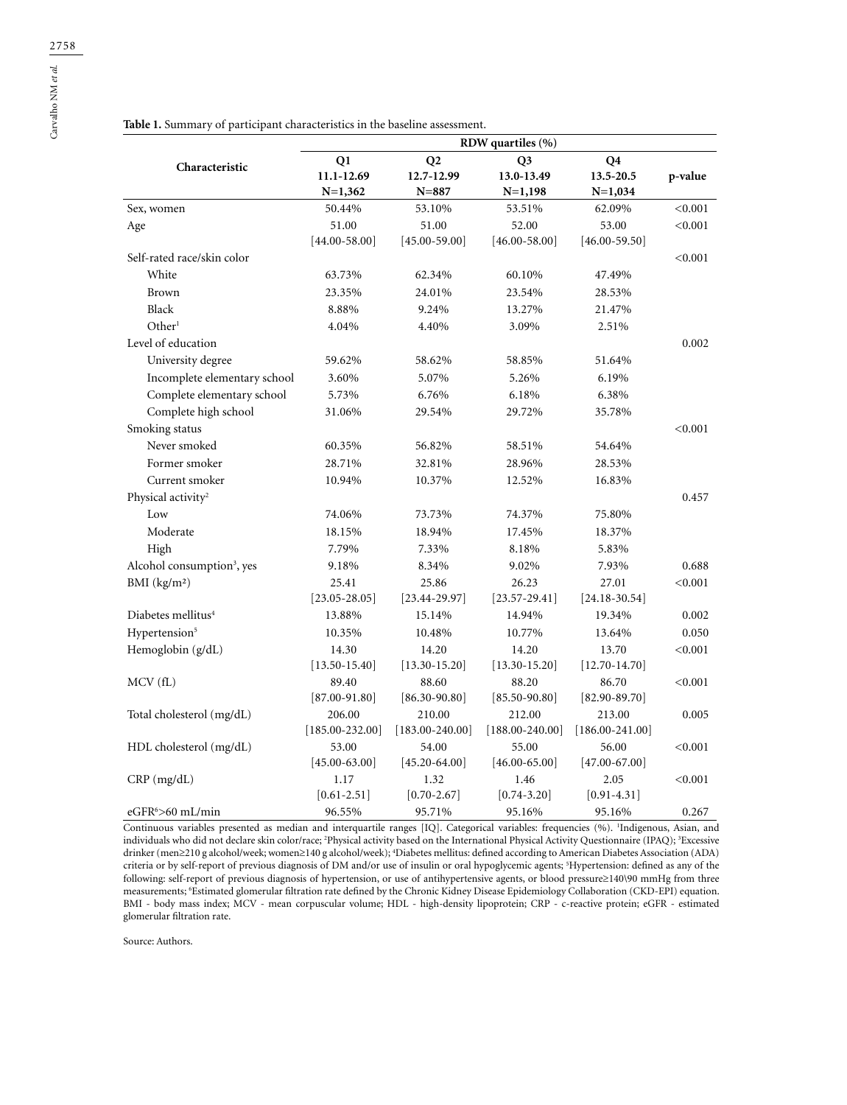|                                        | RDW quartiles (%)   |                     |                     |                     |         |  |
|----------------------------------------|---------------------|---------------------|---------------------|---------------------|---------|--|
| Characteristic                         | Q1                  | Q2                  | Q <sub>3</sub>      | Q4                  |         |  |
|                                        | 11.1-12.69          | 12.7-12.99          | 13.0-13.49          | 13.5-20.5           | p-value |  |
|                                        | $N=1,362$           | $N = 887$           | $N=1,198$           | $N=1,034$           |         |  |
| Sex, women                             | 50.44%              | 53.10%              | 53.51%              | 62.09%              | < 0.001 |  |
| Age                                    | 51.00               | 51.00               | 52.00               | 53.00               | < 0.001 |  |
|                                        | $[44.00 - 58.00]$   | $[45.00 - 59.00]$   | $[46.00 - 58.00]$   | $[46.00 - 59.50]$   |         |  |
| Self-rated race/skin color             |                     |                     |                     |                     | < 0.001 |  |
| White                                  | 63.73%              | 62.34%              | 60.10%              | 47.49%              |         |  |
| Brown                                  | 23.35%              | 24.01%              | 23.54%              | 28.53%              |         |  |
| Black                                  | 8.88%               | 9.24%               | 13.27%              | 21.47%              |         |  |
| Other <sup>1</sup>                     | 4.04%               | 4.40%               | 3.09%               | 2.51%               |         |  |
| Level of education                     |                     |                     |                     |                     | 0.002   |  |
| University degree                      | 59.62%              | 58.62%              | 58.85%              | 51.64%              |         |  |
| Incomplete elementary school           | 3.60%               | 5.07%               | 5.26%               | 6.19%               |         |  |
| Complete elementary school             | 5.73%               | 6.76%               | 6.18%               | 6.38%               |         |  |
| Complete high school                   | 31.06%              | 29.54%              | 29.72%              | 35.78%              |         |  |
| Smoking status                         |                     |                     |                     |                     | < 0.001 |  |
| Never smoked                           | 60.35%              | 56.82%              | 58.51%              | 54.64%              |         |  |
| Former smoker                          | 28.71%              | 32.81%              | 28.96%              | 28.53%              |         |  |
| Current smoker                         | 10.94%              | 10.37%              | 12.52%              | 16.83%              |         |  |
| Physical activity <sup>2</sup>         |                     |                     |                     |                     | 0.457   |  |
| Low                                    | 74.06%              | 73.73%              | 74.37%              | 75.80%              |         |  |
| Moderate                               | 18.15%              | 18.94%              | 17.45%              | 18.37%              |         |  |
| High                                   | 7.79%               | 7.33%               | 8.18%               | 5.83%               |         |  |
| Alcohol consumption <sup>3</sup> , yes | 9.18%               | 8.34%               | 9.02%               | 7.93%               | 0.688   |  |
| BMI $(kg/m2)$                          | 25.41               | 25.86               | 26.23               | 27.01               | < 0.001 |  |
|                                        | $[23.05 - 28.05]$   | $[23.44 - 29.97]$   | $[23.57-29.41]$     | $[24.18 - 30.54]$   |         |  |
| Diabetes mellitus <sup>4</sup>         | 13.88%              | 15.14%              | 14.94%              | 19.34%              | 0.002   |  |
| Hypertension <sup>5</sup>              | 10.35%              | 10.48%              | 10.77%              | 13.64%              | 0.050   |  |
| Hemoglobin (g/dL)                      | 14.30               | 14.20               | 14.20               | 13.70               | < 0.001 |  |
|                                        | $[13.50 - 15.40]$   | $[13.30 - 15.20]$   | $[13.30 - 15.20]$   | $[12.70 - 14.70]$   |         |  |
| MCV (fL)                               | 89.40               | 88.60               | 88.20               | 86.70               | < 0.001 |  |
|                                        | $[87.00 - 91.80]$   | $[86.30 - 90.80]$   | $[85.50 - 90.80]$   | $[82.90 - 89.70]$   |         |  |
| Total cholesterol (mg/dL)              | 206.00              | 210.00              | 212.00              | 213.00              | 0.005   |  |
|                                        | $[185.00 - 232.00]$ | $[183.00 - 240.00]$ | $[188.00 - 240.00]$ | $[186.00 - 241.00]$ |         |  |
| HDL cholesterol (mg/dL)                | 53.00               | 54.00               | 55.00               | 56.00               | < 0.001 |  |
|                                        | $[45.00 - 63.00]$   | $[45.20 - 64.00]$   | $[46.00 - 65.00]$   | $[47.00 - 67.00]$   |         |  |
| $CRP$ (mg/dL)                          | 1.17                | 1.32                | 1.46                | 2.05                | < 0.001 |  |
|                                        | $[0.61 - 2.51]$     | $[0.70 - 2.67]$     | $[0.74 - 3.20]$     | $[0.91 - 4.31]$     |         |  |
| eGFR <sup>6</sup> >60 mL/min           | 96.55%              | 95.71%              | 95.16%              | 95.16%              | 0.267   |  |

**Table 1.** Summary of participant characteristics in the baseline assessment.

Continuous variables presented as median and interquartile ranges [IQ]. Categorical variables: frequencies (%). 1 Indigenous, Asian, and individuals who did not declare skin color/race; 2 Physical activity based on the International Physical Activity Questionnaire (IPAQ); 3 Excessive drinker (men≥210 g alcohol/week; women≥140 g alcohol/week); 4 Diabetes mellitus: defined according to American Diabetes Association (ADA) criteria or by self-report of previous diagnosis of DM and/or use of insulin or oral hypoglycemic agents; 5 Hypertension: defined as any of the following: self-report of previous diagnosis of hypertension, or use of antihypertensive agents, or blood pressure≥140\90 mmHg from three measurements; 6 Estimated glomerular filtration rate defined by the Chronic Kidney Disease Epidemiology Collaboration (CKD-EPI) equation. BMI - body mass index; MCV - mean corpuscular volume; HDL - high-density lipoprotein; CRP - c-reactive protein; eGFR - estimated glomerular filtration rate.

Source: Authors.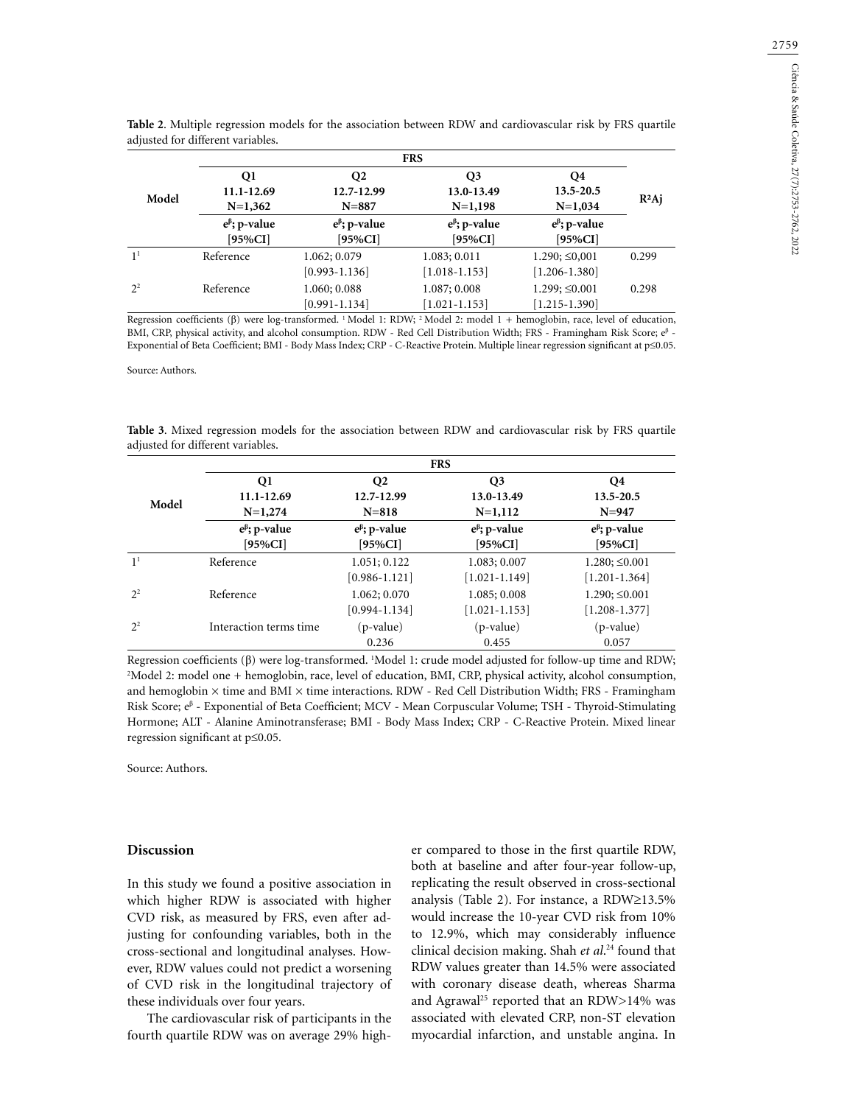|                | <b>FRS</b>            |                       |                       |                       |          |  |
|----------------|-----------------------|-----------------------|-----------------------|-----------------------|----------|--|
| Model          | Q1                    | Q <sub>2</sub>        | O3                    | O4<br>13.5-20.5       |          |  |
|                | 11.1-12.69            | 12.7-12.99            | 13.0-13.49            |                       |          |  |
|                | $N=1,362$             | $N = 887$             | $N=1,198$             | $N=1,034$             | $R^2$ Aj |  |
|                | $e^{\beta}$ ; p-value | $e^{\beta}$ ; p-value | $e^{\beta}$ ; p-value | $e^{\beta}$ ; p-value |          |  |
|                | $[95\%CI]$            | [95%CI]               | $[95\%CI]$            | [95%CI]               |          |  |
| 1 <sup>1</sup> | Reference             | 1.062; 0.079          | 1.083; 0.011          | $1.290; \leq 0.001$   | 0.299    |  |
|                |                       | $[0.993 - 1.136]$     | $[1.018 - 1.153]$     | $[1.206 - 1.380]$     |          |  |
| 2 <sup>2</sup> | Reference             | 1.060; 0.088          | 1.087; 0.008          | $1.299; \leq 0.001$   | 0.298    |  |
|                |                       | $[0.991 - 1.134]$     | $[1.021 - 1.153]$     | $[1.215 - 1.390]$     |          |  |

**Table 2**. Multiple regression models for the association between RDW and cardiovascular risk by FRS quartile adjusted for different variables.

Regression coefficients (β) were log-transformed. 1 Model 1: RDW; 2 Model 2: model 1 + hemoglobin, race, level of education, BMI, CRP, physical activity, and alcohol consumption. RDW - Red Cell Distribution Width; FRS - Framingham Risk Score; e<sup>β</sup> -Exponential of Beta Coefficient; BMI - Body Mass Index; CRP - C-Reactive Protein. Multiple linear regression significant at p≤0.05.

Source: Authors.

| adjusted for different variables. |            |            |            |           |  |  |  |  |
|-----------------------------------|------------|------------|------------|-----------|--|--|--|--|
|                                   | <b>FRS</b> |            |            |           |  |  |  |  |
|                                   | О1         | O2         | O3         | O4        |  |  |  |  |
| Model                             | 11.1-12.69 | 12.7-12.99 | 13.0-13.49 | 13.5-20.5 |  |  |  |  |
|                                   | $N=1,274$  | $N = 818$  | $N=1,112$  | $N = 947$ |  |  |  |  |

**eβ ; p-value [95%CI]**

1.083; 0.007 [1.021-1.149]

1.085; 0.008 [1.021-1.153]

> (p-value) 0.455

**eβ ; p-value [95%CI]**

1.280; ≤0.001 [1.201-1.364]

1.290; ≤0.001 [1.208-1.377]

> (p-value) 0.057

**eβ ; p-value [95%CI]**

[0.986-1.121]

[0.994-1.134]

0.236

**Table 3**. Mixed regression models for the association between RDW and cardiovascular risk by FRS quartile

Regression coefficients (β) were log-transformed. 'Model 1: crude model adjusted for follow-up time and RDW;<br><sup>2</sup>Model 2: model one + hemoglobin, race, level of education, BML CRP physical activity alcohol consumption. <sup>2</sup>Model 2: model one + hemoglobin, race, level of education, BMI, CRP, physical activity, alcohol consumption, and hemoglobin × time and BMI × time interactions. RDW - Red Cell Distribution Width; FRS - Framingham Risk Score; e<sup>β</sup> - Exponential of Beta Coefficient; MCV - Mean Corpuscular Volume; TSH - Thyroid-Stimulating Hormone; ALT - Alanine Aminotransferase; BMI - Body Mass Index; CRP - C-Reactive Protein. Mixed linear regression significant at p≤0.05.

Source: Authors.

#### **Discussion**

In this study we found a positive association in which higher RDW is associated with higher CVD risk, as measured by FRS, even after adjusting for confounding variables, both in the cross-sectional and longitudinal analyses. However, RDW values could not predict a worsening of CVD risk in the longitudinal trajectory of these individuals over four years.

**eβ ; p-value [95%CI]**

1<sup>1</sup> Reference 1.051; 0.122

2<sup>2</sup> Reference 1.062; 0.070

 $2<sup>2</sup>$  Interaction terms time (p-value)

The cardiovascular risk of participants in the fourth quartile RDW was on average 29% higher compared to those in the first quartile RDW, both at baseline and after four-year follow-up, replicating the result observed in cross-sectional analysis (Table 2). For instance, a RDW≥13.5% would increase the 10-year CVD risk from 10% to 12.9%, which may considerably influence clinical decision making. Shah *et al*. 24 found that RDW values greater than 14.5% were associated with coronary disease death, whereas Sharma and Agrawal<sup>25</sup> reported that an RDW>14% was associated with elevated CRP, non-ST elevation myocardial infarction, and unstable angina. In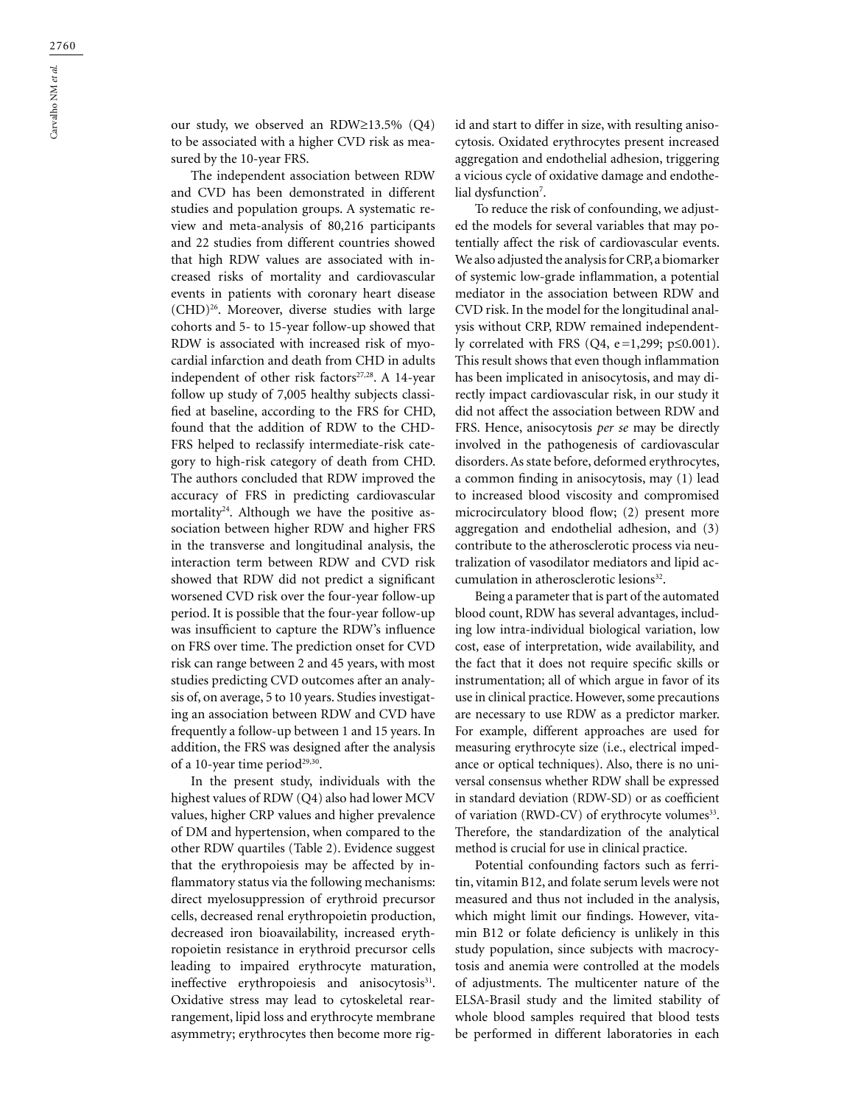our study, we observed an RDW≥13.5% (Q4) to be associated with a higher CVD risk as measured by the 10-year FRS.

The independent association between RDW and CVD has been demonstrated in different studies and population groups. A systematic review and meta-analysis of 80,216 participants and 22 studies from different countries showed that high RDW values are associated with increased risks of mortality and cardiovascular events in patients with coronary heart disease (CHD)26. Moreover, diverse studies with large cohorts and 5- to 15-year follow-up showed that RDW is associated with increased risk of myocardial infarction and death from CHD in adults independent of other risk factors<sup>27,28</sup>. A 14-year follow up study of 7,005 healthy subjects classified at baseline, according to the FRS for CHD, found that the addition of RDW to the CHD-FRS helped to reclassify intermediate-risk category to high-risk category of death from CHD. The authors concluded that RDW improved the accuracy of FRS in predicting cardiovascular mortality<sup>24</sup>. Although we have the positive association between higher RDW and higher FRS in the transverse and longitudinal analysis, the interaction term between RDW and CVD risk showed that RDW did not predict a significant worsened CVD risk over the four-year follow-up period. It is possible that the four-year follow-up was insufficient to capture the RDW's influence on FRS over time. The prediction onset for CVD risk can range between 2 and 45 years, with most studies predicting CVD outcomes after an analysis of, on average, 5 to 10 years. Studies investigating an association between RDW and CVD have frequently a follow-up between 1 and 15 years. In addition, the FRS was designed after the analysis of a 10-year time period<sup>29,30</sup>.

In the present study, individuals with the highest values of RDW (Q4) also had lower MCV values, higher CRP values and higher prevalence of DM and hypertension, when compared to the other RDW quartiles (Table 2). Evidence suggest that the erythropoiesis may be affected by inflammatory status via the following mechanisms: direct myelosuppression of erythroid precursor cells, decreased renal erythropoietin production, decreased iron bioavailability, increased erythropoietin resistance in erythroid precursor cells leading to impaired erythrocyte maturation, ineffective erythropoiesis and anisocytosis<sup>31</sup>. Oxidative stress may lead to cytoskeletal rearrangement, lipid loss and erythrocyte membrane asymmetry; erythrocytes then become more rigid and start to differ in size, with resulting anisocytosis. Oxidated erythrocytes present increased aggregation and endothelial adhesion, triggering a vicious cycle of oxidative damage and endothelial dysfunction<sup>7</sup>.

To reduce the risk of confounding, we adjusted the models for several variables that may potentially affect the risk of cardiovascular events. We also adjusted the analysis for CRP, a biomarker of systemic low-grade inflammation, a potential mediator in the association between RDW and CVD risk. In the model for the longitudinal analysis without CRP, RDW remained independently correlated with FRS (Q4, e=1,299; p≤0.001). This result shows that even though inflammation has been implicated in anisocytosis, and may directly impact cardiovascular risk, in our study it did not affect the association between RDW and FRS. Hence, anisocytosis *per se* may be directly involved in the pathogenesis of cardiovascular disorders. As state before, deformed erythrocytes, a common finding in anisocytosis, may (1) lead to increased blood viscosity and compromised microcirculatory blood flow; (2) present more aggregation and endothelial adhesion, and (3) contribute to the atherosclerotic process via neutralization of vasodilator mediators and lipid accumulation in atherosclerotic lesions<sup>32</sup>.

Being a parameter that is part of the automated blood count, RDW has several advantages, including low intra-individual biological variation, low cost, ease of interpretation, wide availability, and the fact that it does not require specific skills or instrumentation; all of which argue in favor of its use in clinical practice. However, some precautions are necessary to use RDW as a predictor marker. For example, different approaches are used for measuring erythrocyte size (i.e., electrical impedance or optical techniques). Also, there is no universal consensus whether RDW shall be expressed in standard deviation (RDW-SD) or as coefficient of variation (RWD-CV) of erythrocyte volumes<sup>33</sup>. Therefore, the standardization of the analytical method is crucial for use in clinical practice.

Potential confounding factors such as ferritin, vitamin B12, and folate serum levels were not measured and thus not included in the analysis, which might limit our findings. However, vitamin B12 or folate deficiency is unlikely in this study population, since subjects with macrocytosis and anemia were controlled at the models of adjustments. The multicenter nature of the ELSA-Brasil study and the limited stability of whole blood samples required that blood tests be performed in different laboratories in each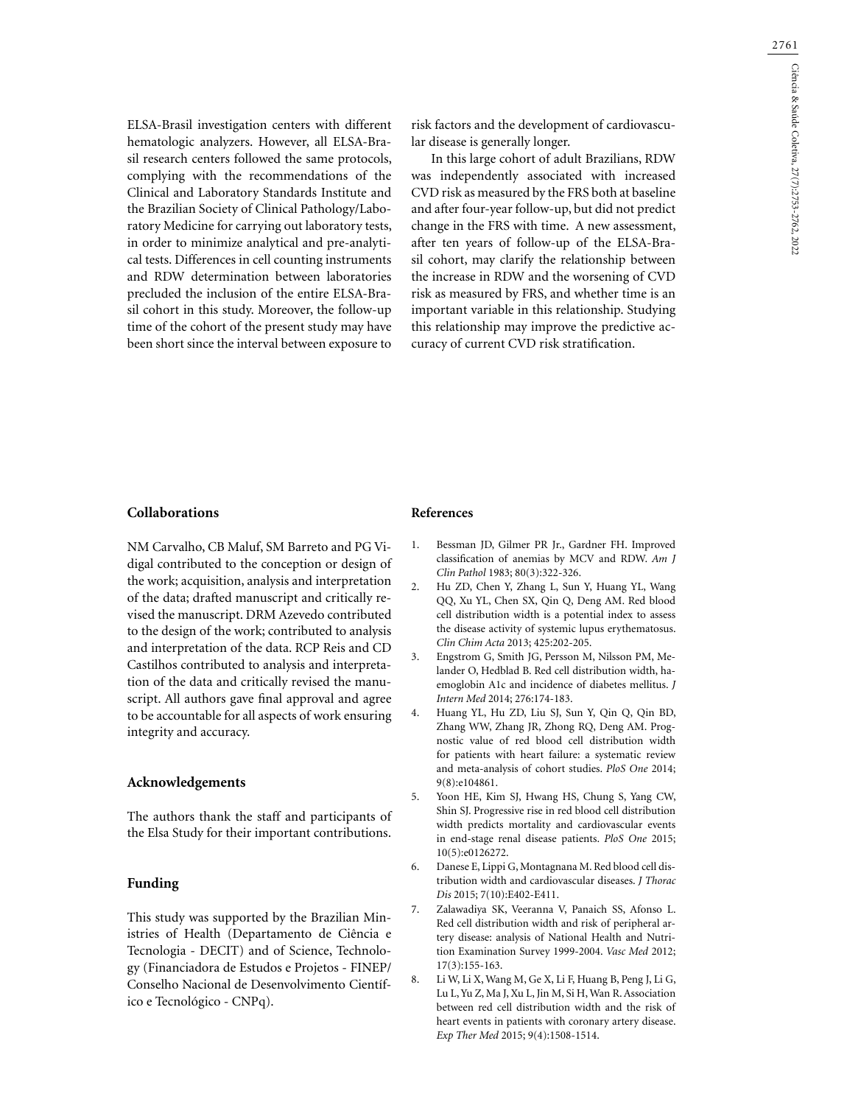2761

ELSA-Brasil investigation centers with different hematologic analyzers. However, all ELSA-Brasil research centers followed the same protocols, complying with the recommendations of the Clinical and Laboratory Standards Institute and the Brazilian Society of Clinical Pathology/Laboratory Medicine for carrying out laboratory tests, in order to minimize analytical and pre-analytical tests. Differences in cell counting instruments and RDW determination between laboratories precluded the inclusion of the entire ELSA-Brasil cohort in this study. Moreover, the follow-up time of the cohort of the present study may have been short since the interval between exposure to

risk factors and the development of cardiovascular disease is generally longer.

In this large cohort of adult Brazilians, RDW was independently associated with increased CVD risk as measured by the FRS both at baseline and after four-year follow-up, but did not predict change in the FRS with time. A new assessment, after ten years of follow-up of the ELSA-Brasil cohort, may clarify the relationship between the increase in RDW and the worsening of CVD risk as measured by FRS, and whether time is an important variable in this relationship. Studying this relationship may improve the predictive accuracy of current CVD risk stratification.

# **Collaborations**

NM Carvalho, CB Maluf, SM Barreto and PG Vidigal contributed to the conception or design of the work; acquisition, analysis and interpretation of the data; drafted manuscript and critically revised the manuscript. DRM Azevedo contributed to the design of the work; contributed to analysis and interpretation of the data. RCP Reis and CD Castilhos contributed to analysis and interpretation of the data and critically revised the manuscript. All authors gave final approval and agree to be accountable for all aspects of work ensuring integrity and accuracy.

# **Acknowledgements**

The authors thank the staff and participants of the Elsa Study for their important contributions.

# **Funding**

This study was supported by the Brazilian Ministries of Health (Departamento de Ciência e Tecnologia - DECIT) and of Science, Technology (Financiadora de Estudos e Projetos - FINEP/ Conselho Nacional de Desenvolvimento Científico e Tecnológico - CNPq).

### **References**

- 1. Bessman JD, Gilmer PR Jr., Gardner FH. Improved classification of anemias by MCV and RDW. *Am J Clin Pathol* 1983; 80(3):322-326.
- 2. Hu ZD, Chen Y, Zhang L, Sun Y, Huang YL, Wang QQ, Xu YL, Chen SX, Qin Q, Deng AM. Red blood cell distribution width is a potential index to assess the disease activity of systemic lupus erythematosus. *Clin Chim Acta* 2013; 425:202-205.
- 3. Engstrom G, Smith JG, Persson M, Nilsson PM, Melander O, Hedblad B. Red cell distribution width, haemoglobin A1c and incidence of diabetes mellitus. *J Intern Med* 2014; 276:174-183.
- 4. Huang YL, Hu ZD, Liu SJ, Sun Y, Qin Q, Qin BD, Zhang WW, Zhang JR, Zhong RQ, Deng AM. Prognostic value of red blood cell distribution width for patients with heart failure: a systematic review and meta-analysis of cohort studies. *PloS One* 2014; 9(8):e104861.
- 5. Yoon HE, Kim SJ, Hwang HS, Chung S, Yang CW, Shin SJ. Progressive rise in red blood cell distribution width predicts mortality and cardiovascular events in end-stage renal disease patients. *PloS One* 2015; 10(5):e0126272.
- 6. Danese E, Lippi G, Montagnana M. Red blood cell distribution width and cardiovascular diseases. *J Thorac Dis* 2015; 7(10):E402-E411.
- 7. Zalawadiya SK, Veeranna V, Panaich SS, Afonso L. Red cell distribution width and risk of peripheral artery disease: analysis of National Health and Nutrition Examination Survey 1999-2004. *Vasc Med* 2012; 17(3):155-163.
- 8. Li W, Li X, Wang M, Ge X, Li F, Huang B, Peng J, Li G, Lu L, Yu Z, Ma J, Xu L, Jin M, Si H, Wan R. Association between red cell distribution width and the risk of heart events in patients with coronary artery disease. *Exp Ther Med* 2015; 9(4):1508-1514.